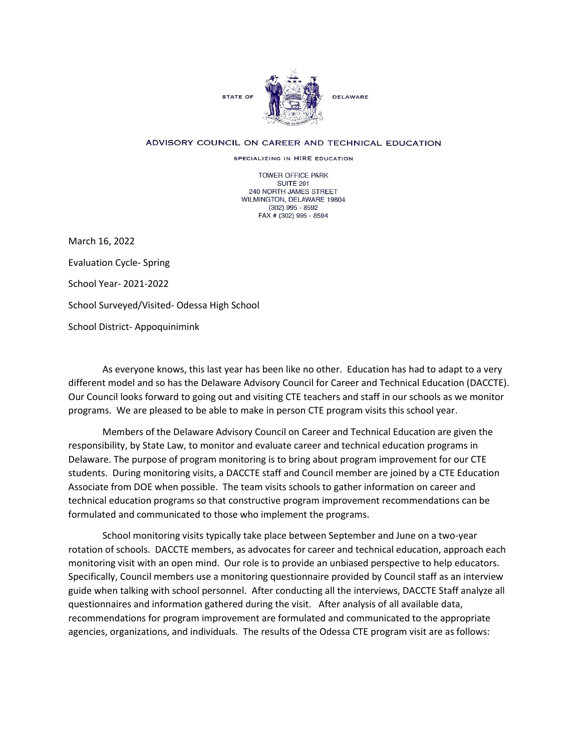

## ADVISORY COUNCIL ON CAREER AND TECHNICAL EDUCATION

SPECIALIZING IN HIRE EDUCATION

TOWER OFFICE PARK SUITE 201 240 NORTH JAMES STREET WILMINGTON, DELAWARE 19804 (302) 995 - 8592 FAX # (302) 995 - 8594

March 16, 2022 Evaluation Cycle- Spring School Year- 2021-2022 School Surveyed/Visited- Odessa High School School District- Appoquinimink

 programs. We are pleased to be able to make in person CTE program visits this school year. As everyone knows, this last year has been like no other. Education has had to adapt to a very different model and so has the Delaware Advisory Council for Career and Technical Education (DACCTE). Our Council looks forward to going out and visiting CTE teachers and staff in our schools as we monitor

 responsibility, by State Law, to monitor and evaluate career and technical education programs in Members of the Delaware Advisory Council on Career and Technical Education are given the Delaware. The purpose of program monitoring is to bring about program improvement for our CTE students. During monitoring visits, a DACCTE staff and Council member are joined by a CTE Education Associate from DOE when possible. The team visits schools to gather information on career and technical education programs so that constructive program improvement recommendations can be formulated and communicated to those who implement the programs.

 rotation of schools. DACCTE members, as advocates for career and technical education, approach each agencies, organizations, and individuals. The results of the Odessa CTE program visit are as follows: School monitoring visits typically take place between September and June on a two-year monitoring visit with an open mind. Our role is to provide an unbiased perspective to help educators. Specifically, Council members use a monitoring questionnaire provided by Council staff as an interview guide when talking with school personnel. After conducting all the interviews, DACCTE Staff analyze all questionnaires and information gathered during the visit. After analysis of all available data, recommendations for program improvement are formulated and communicated to the appropriate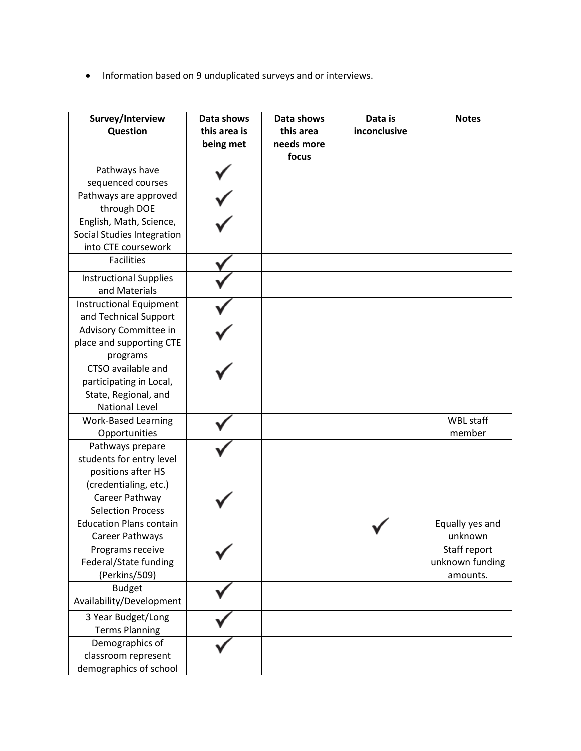• Information based on 9 unduplicated surveys and or interviews.

| Survey/Interview<br>Question                                                                   | Data shows<br>this area is<br>being met | Data shows<br>this area<br>needs more<br>focus | Data is<br>inconclusive | <b>Notes</b>                                |
|------------------------------------------------------------------------------------------------|-----------------------------------------|------------------------------------------------|-------------------------|---------------------------------------------|
| Pathways have<br>sequenced courses                                                             |                                         |                                                |                         |                                             |
| Pathways are approved<br>through DOE                                                           |                                         |                                                |                         |                                             |
| English, Math, Science,<br><b>Social Studies Integration</b><br>into CTE coursework            |                                         |                                                |                         |                                             |
| <b>Facilities</b>                                                                              |                                         |                                                |                         |                                             |
| <b>Instructional Supplies</b><br>and Materials                                                 |                                         |                                                |                         |                                             |
| Instructional Equipment<br>and Technical Support                                               |                                         |                                                |                         |                                             |
| Advisory Committee in<br>place and supporting CTE<br>programs                                  |                                         |                                                |                         |                                             |
| CTSO available and<br>participating in Local,<br>State, Regional, and<br><b>National Level</b> |                                         |                                                |                         |                                             |
| <b>Work-Based Learning</b><br>Opportunities                                                    |                                         |                                                |                         | <b>WBL staff</b><br>member                  |
| Pathways prepare<br>students for entry level<br>positions after HS<br>(credentialing, etc.)    |                                         |                                                |                         |                                             |
| Career Pathway<br><b>Selection Process</b>                                                     |                                         |                                                |                         |                                             |
| <b>Education Plans contain</b><br>Career Pathways                                              |                                         |                                                |                         | Equally yes and<br>unknown                  |
| Programs receive<br>Federal/State funding<br>(Perkins/509)                                     |                                         |                                                |                         | Staff report<br>unknown funding<br>amounts. |
| <b>Budget</b><br>Availability/Development                                                      |                                         |                                                |                         |                                             |
| 3 Year Budget/Long<br><b>Terms Planning</b>                                                    |                                         |                                                |                         |                                             |
| Demographics of<br>classroom represent<br>demographics of school                               |                                         |                                                |                         |                                             |